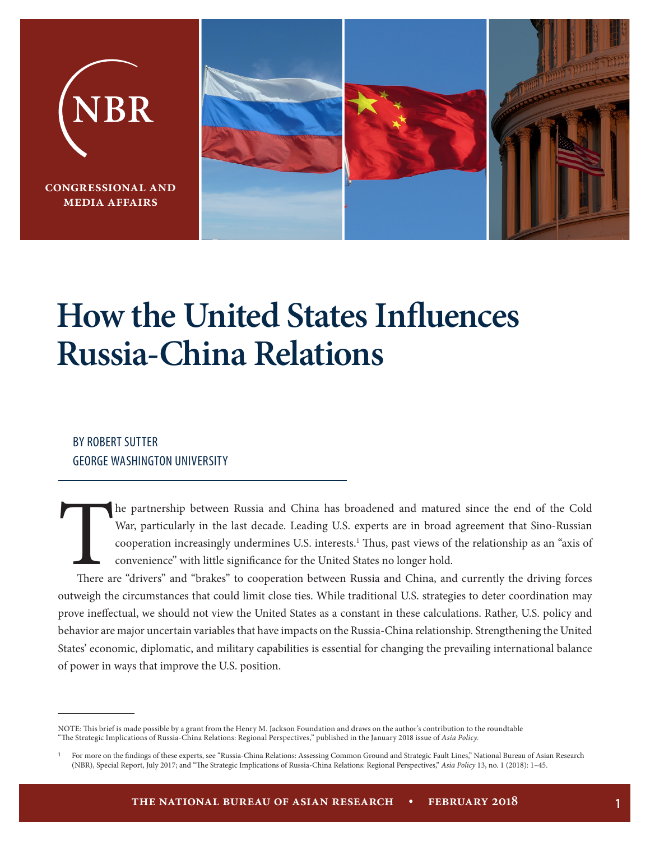

# **How the United States Influences Russia-China Relations**

#### BY ROBERT SUTTER GEORGE WASHINGTON UNIVERSITY

The partnership between Russia and China has broadened and matured since the end of the Cold War, particularly in the last decade. Leading U.S. experts are in broad agreement that Sino-Russian cooperation increasingly unde War, particularly in the last decade. Leading U.S. experts are in broad agreement that Sino-Russian cooperation increasingly undermines U.S. interests.<sup>1</sup> Thus, past views of the relationship as an "axis of convenience" with little significance for the United States no longer hold.

outweigh the circumstances that could limit close ties. While traditional U.S. strategies to deter coordination may prove ineffectual, we should not view the United States as a constant in these calculations. Rather, U.S. policy and behavior are major uncertain variables that have impacts on the Russia-China relationship. Strengthening the United States' economic, diplomatic, and military capabilities is essential for changing the prevailing international balance of power in ways that improve the U.S. position.

NOTE: This brief is made possible by a grant from the Henry M. Jackson Foundation and draws on the author's contribution to the roundtable "The Strategic Implications of Russia-China Relations: Regional Perspectives," published in the January 2018 issue of *Asia Policy*.

<sup>1</sup>For more on the findings of these experts, see "Russia-China Relations: Assessing Common Ground and Strategic Fault Lines," National Bureau of Asian Research (NBR), Special Report, July 2017; and "The Strategic Implications of Russia-China Relations: Regional Perspectives," *Asia Policy* 13, no. 1 (2018): 1–45.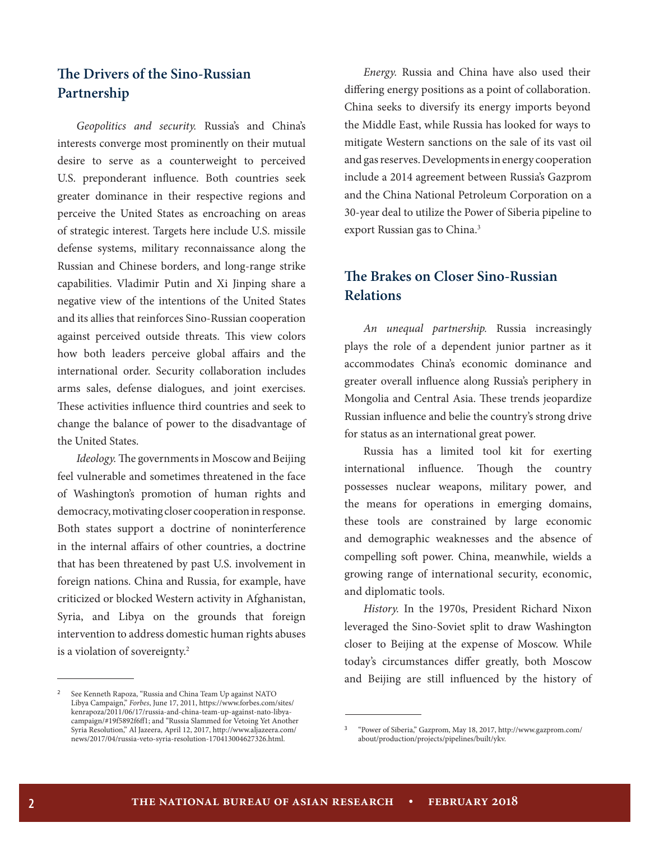## **The Drivers of the Sino-Russian Partnership**

*Geopolitics and security.* Russia's and China's interests converge most prominently on their mutual desire to serve as a counterweight to perceived U.S. preponderant influence. Both countries seek greater dominance in their respective regions and perceive the United States as encroaching on areas of strategic interest. Targets here include U.S. missile defense systems, military reconnaissance along the Russian and Chinese borders, and long-range strike capabilities. Vladimir Putin and Xi Jinping share a negative view of the intentions of the United States and its allies that reinforces Sino-Russian cooperation against perceived outside threats. This view colors how both leaders perceive global affairs and the international order. Security collaboration includes arms sales, defense dialogues, and joint exercises. These activities influence third countries and seek to change the balance of power to the disadvantage of the United States.

*Ideology.* The governments in Moscow and Beijing feel vulnerable and sometimes threatened in the face of Washington's promotion of human rights and democracy, motivating closer cooperation in response. Both states support a doctrine of noninterference in the internal affairs of other countries, a doctrine that has been threatened by past U.S. involvement in foreign nations. China and Russia, for example, have criticized or blocked Western activity in Afghanistan, Syria, and Libya on the grounds that foreign intervention to address domestic human rights abuses is a violation of sovereignty.2

See Kenneth Rapoza, "Russia and China Team Up against NATO Libya Campaign," *Forbes*, June 17, 2011, https://www.forbes.com/sites/ kenrapoza/2011/06/17/russia-and-china-team-up-against-nato-libyacampaign/#19f5892f6ff1; and "Russia Slammed for Vetoing Yet Another Syria Resolution," Al Jazeera, April 12, 2017, http://www.aljazeera.com/ news/2017/04/russia-veto-syria-resolution-170413004627326.html.

*Energy.* Russia and China have also used their differing energy positions as a point of collaboration. China seeks to diversify its energy imports beyond the Middle East, while Russia has looked for ways to mitigate Western sanctions on the sale of its vast oil and gas reserves. Developments in energy cooperation include a 2014 agreement between Russia's Gazprom and the China National Petroleum Corporation on a 30-year deal to utilize the Power of Siberia pipeline to export Russian gas to China.<sup>3</sup>

## **The Brakes on Closer Sino-Russian Relations**

*An unequal partnership.* Russia increasingly plays the role of a dependent junior partner as it accommodates China's economic dominance and greater overall influence along Russia's periphery in Mongolia and Central Asia. These trends jeopardize Russian influence and belie the country's strong drive for status as an international great power.

Russia has a limited tool kit for exerting international influence. Though the country possesses nuclear weapons, military power, and the means for operations in emerging domains, these tools are constrained by large economic and demographic weaknesses and the absence of compelling soft power. China, meanwhile, wields a growing range of international security, economic, and diplomatic tools.

*History.* In the 1970s, President Richard Nixon leveraged the Sino-Soviet split to draw Washington closer to Beijing at the expense of Moscow. While today's circumstances differ greatly, both Moscow and Beijing are still influenced by the history of

<sup>3</sup>"Power of Siberia," Gazprom, May 18, 2017, http://www.gazprom.com/ about/production/projects/pipelines/built/ykv.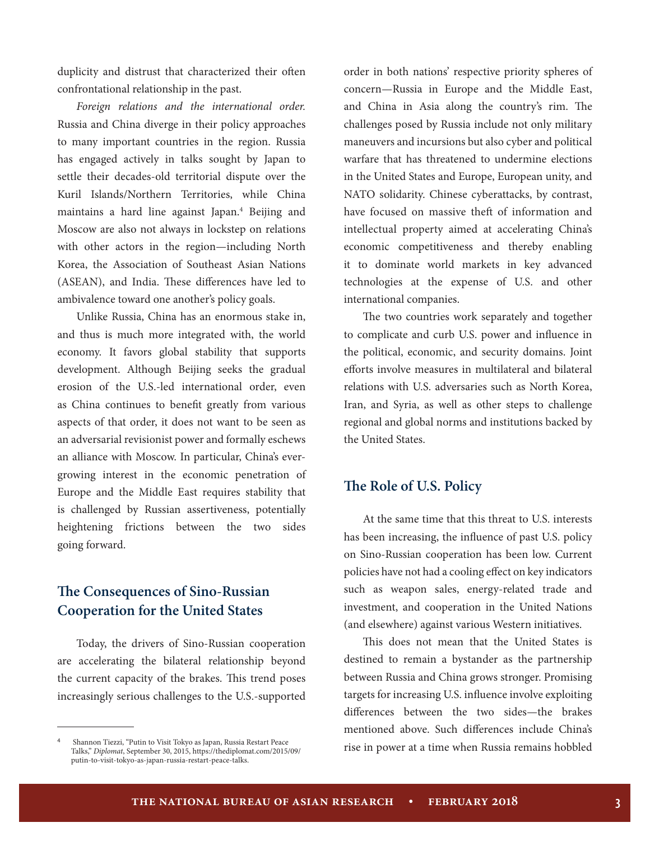duplicity and distrust that characterized their often confrontational relationship in the past.

*Foreign relations and the international order.*  Russia and China diverge in their policy approaches to many important countries in the region. Russia has engaged actively in talks sought by Japan to settle their decades-old territorial dispute over the Kuril Islands/Northern Territories, while China maintains a hard line against Japan.4 Beijing and Moscow are also not always in lockstep on relations with other actors in the region—including North Korea, the Association of Southeast Asian Nations (ASEAN), and India. These differences have led to ambivalence toward one another's policy goals.

Unlike Russia, China has an enormous stake in, and thus is much more integrated with, the world economy. It favors global stability that supports development. Although Beijing seeks the gradual erosion of the U.S.-led international order, even as China continues to benefit greatly from various aspects of that order, it does not want to be seen as an adversarial revisionist power and formally eschews an alliance with Moscow. In particular, China's evergrowing interest in the economic penetration of Europe and the Middle East requires stability that is challenged by Russian assertiveness, potentially heightening frictions between the two sides going forward.

## **The Consequences of Sino-Russian Cooperation for the United States**

Today, the drivers of Sino-Russian cooperation are accelerating the bilateral relationship beyond the current capacity of the brakes. This trend poses increasingly serious challenges to the U.S.-supported

order in both nations' respective priority spheres of concern—Russia in Europe and the Middle East, and China in Asia along the country's rim. The challenges posed by Russia include not only military maneuvers and incursions but also cyber and political warfare that has threatened to undermine elections in the United States and Europe, European unity, and NATO solidarity. Chinese cyberattacks, by contrast, have focused on massive theft of information and intellectual property aimed at accelerating China's economic competitiveness and thereby enabling it to dominate world markets in key advanced technologies at the expense of U.S. and other international companies.

The two countries work separately and together to complicate and curb U.S. power and influence in the political, economic, and security domains. Joint efforts involve measures in multilateral and bilateral relations with U.S. adversaries such as North Korea, Iran, and Syria, as well as other steps to challenge regional and global norms and institutions backed by the United States.

#### **The Role of U.S. Policy**

At the same time that this threat to U.S. interests has been increasing, the influence of past U.S. policy on Sino-Russian cooperation has been low. Current policies have not had a cooling effect on key indicators such as weapon sales, energy-related trade and investment, and cooperation in the United Nations (and elsewhere) against various Western initiatives.

This does not mean that the United States is destined to remain a bystander as the partnership between Russia and China grows stronger. Promising targets for increasing U.S. influence involve exploiting differences between the two sides—the brakes mentioned above. Such differences include China's rise in power at a time when Russia remains hobbled

<sup>4</sup>Shannon Tiezzi, "Putin to Visit Tokyo as Japan, Russia Restart Peace Talks," *Diplomat*, September 30, 2015, https://thediplomat.com/2015/09/ putin-to-visit-tokyo-as-japan-russia-restart-peace-talks.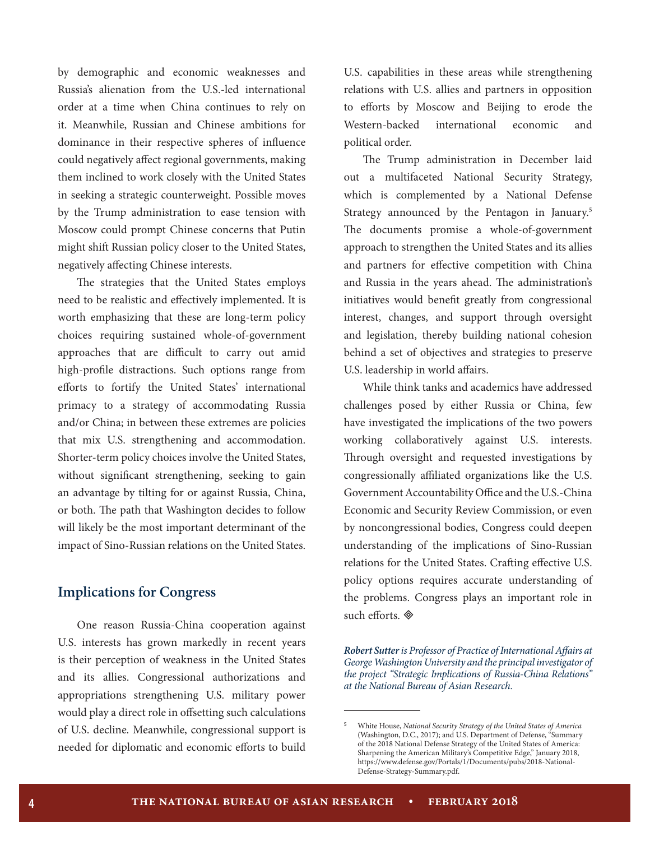by demographic and economic weaknesses and Russia's alienation from the U.S.-led international order at a time when China continues to rely on it. Meanwhile, Russian and Chinese ambitions for dominance in their respective spheres of influence could negatively affect regional governments, making them inclined to work closely with the United States in seeking a strategic counterweight. Possible moves by the Trump administration to ease tension with Moscow could prompt Chinese concerns that Putin might shift Russian policy closer to the United States, negatively affecting Chinese interests.

The strategies that the United States employs need to be realistic and effectively implemented. It is worth emphasizing that these are long-term policy choices requiring sustained whole-of-government approaches that are difficult to carry out amid high-profile distractions. Such options range from efforts to fortify the United States' international primacy to a strategy of accommodating Russia and/or China; in between these extremes are policies that mix U.S. strengthening and accommodation. Shorter-term policy choices involve the United States, without significant strengthening, seeking to gain an advantage by tilting for or against Russia, China, or both. The path that Washington decides to follow will likely be the most important determinant of the impact of Sino-Russian relations on the United States.

#### **Implications for Congress**

One reason Russia-China cooperation against U.S. interests has grown markedly in recent years is their perception of weakness in the United States and its allies. Congressional authorizations and appropriations strengthening U.S. military power would play a direct role in offsetting such calculations of U.S. decline. Meanwhile, congressional support is needed for diplomatic and economic efforts to build U.S. capabilities in these areas while strengthening relations with U.S. allies and partners in opposition to efforts by Moscow and Beijing to erode the Western-backed international economic and political order.

The Trump administration in December laid out a multifaceted National Security Strategy, which is complemented by a National Defense Strategy announced by the Pentagon in January.<sup>5</sup> The documents promise a whole-of-government approach to strengthen the United States and its allies and partners for effective competition with China and Russia in the years ahead. The administration's initiatives would benefit greatly from congressional interest, changes, and support through oversight and legislation, thereby building national cohesion behind a set of objectives and strategies to preserve U.S. leadership in world affairs.

While think tanks and academics have addressed challenges posed by either Russia or China, few have investigated the implications of the two powers working collaboratively against U.S. interests. Through oversight and requested investigations by congressionally affiliated organizations like the U.S. Government Accountability Office and the U.S.-China Economic and Security Review Commission, or even by noncongressional bodies, Congress could deepen understanding of the implications of Sino-Russian relations for the United States. Crafting effective U.S. policy options requires accurate understanding of the problems. Congress plays an important role in such efforts.

*Robert Sutter is Professor of Practice of International Affairs at George Washington University and the principal investigator of the project "Strategic Implications of Russia-China Relations" at the National Bureau of Asian Research.*

<sup>5</sup>White House, *National Security Strategy of the United States of America* (Washington, D.C., 2017); and U.S. Department of Defense, "Summary of the 2018 National Defense Strategy of the United States of America: Sharpening the American Military's Competitive Edge," January 2018, https://www.defense.gov/Portals/1/Documents/pubs/2018-National-Defense-Strategy-Summary.pdf.